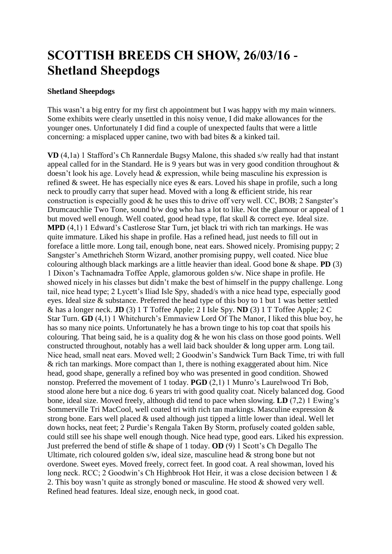## **SCOTTISH BREEDS CH SHOW, 26/03/16 - Shetland Sheepdogs**

## **Shetland Sheepdogs**

This wasn't a big entry for my first ch appointment but I was happy with my main winners. Some exhibits were clearly unsettled in this noisy venue, I did make allowances for the younger ones. Unfortunately I did find a couple of unexpected faults that were a little concerning: a misplaced upper canine, two with bad bites & a kinked tail.

**VD** (4,1a) 1 Stafford's Ch Rannerdale Bugsy Malone, this shaded s/w really had that instant appeal called for in the Standard. He is 9 years but was in very good condition throughout & doesn't look his age. Lovely head & expression, while being masculine his expression is refined & sweet. He has especially nice eyes & ears. Loved his shape in profile, such a long neck to proudly carry that super head. Moved with a long & efficient stride, his rear construction is especially good  $\&$  he uses this to drive off very well. CC, BOB; 2 Sangster's Drumcauchlie Two Tone, sound b/w dog who has a lot to like. Not the glamour or appeal of 1 but moved well enough. Well coated, good head type, flat skull & correct eye. Ideal size. **MPD** (4,1) 1 Edward's Castlerose Star Turn, jet black tri with rich tan markings. He was quite immature. Liked his shape in profile. Has a refined head, just needs to fill out in foreface a little more. Long tail, enough bone, neat ears. Showed nicely. Promising puppy; 2 Sangster's Amethricheh Storm Wizard, another promising puppy, well coated. Nice blue colouring although black markings are a little heavier than ideal. Good bone & shape. **PD** (3) 1 Dixon's Tachnamadra Toffee Apple, glamorous golden s/w. Nice shape in profile. He showed nicely in his classes but didn't make the best of himself in the puppy challenge. Long tail, nice head type; 2 Lycett's Iliad Isle Spy, shaded/s with a nice head type, especially good eyes. Ideal size & substance. Preferred the head type of this boy to 1 but 1 was better settled & has a longer neck. **JD** (3) 1 T Toffee Apple; 2 I Isle Spy. **ND** (3) 1 T Toffee Apple; 2 C Star Turn. **GD** (4,1) 1 Whitchurch's Emmaview Lord Of The Manor, I liked this blue boy, he has so many nice points. Unfortunately he has a brown tinge to his top coat that spoils his colouring. That being said, he is a quality dog  $\&$  he won his class on those good points. Well constructed throughout, notably has a well laid back shoulder & long upper arm. Long tail. Nice head, small neat ears. Moved well; 2 Goodwin's Sandwick Turn Back Time, tri with full & rich tan markings. More compact than 1, there is nothing exaggerated about him. Nice head, good shape, generally a refined boy who was presented in good condition. Showed nonstop. Preferred the movement of 1 today. **PGD** (2,1) 1 Munro's Laurelwood Tri Bob, stood alone here but a nice dog. 6 years tri with good quality coat. Nicely balanced dog. Good bone, ideal size. Moved freely, although did tend to pace when slowing. **LD** (7,2) 1 Ewing's Sommerville Tri MacCool, well coated tri with rich tan markings. Masculine expression & strong bone. Ears well placed & used although just tipped a little lower than ideal. Well let down hocks, neat feet; 2 Purdie's Rengala Taken By Storm, profusely coated golden sable, could still see his shape well enough though. Nice head type, good ears. Liked his expression. Just preferred the bend of stifle & shape of 1 today. **OD** (9) 1 Scott's Ch Degallo The Ultimate, rich coloured golden s/w, ideal size, masculine head & strong bone but not overdone. Sweet eyes. Moved freely, correct feet. In good coat. A real showman, loved his long neck. RCC; 2 Goodwin's Ch Highbrook Hot Heir, it was a close decision between 1 & 2. This boy wasn't quite as strongly boned or masculine. He stood & showed very well. Refined head features. Ideal size, enough neck, in good coat.